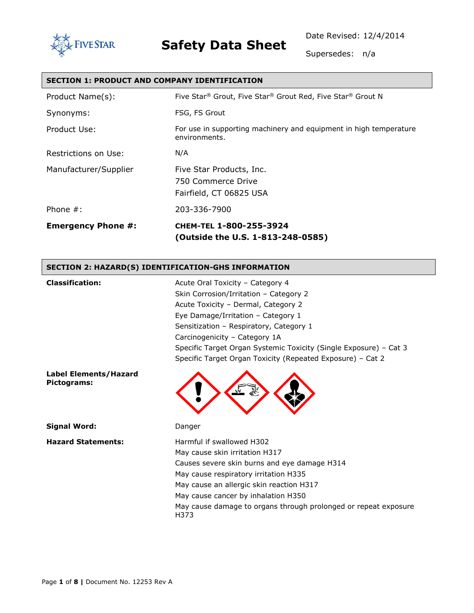

### **FIVESTAR Safety Data Sheet**

Date Revised: 12/4/2014

Supersedes: n/a

| <b>SECTION 1: PRODUCT AND COMPANY IDENTIFICATION</b> |                                                                                    |  |
|------------------------------------------------------|------------------------------------------------------------------------------------|--|
| Product Name(s):                                     | Five Star® Grout, Five Star® Grout Red, Five Star® Grout N                         |  |
| Synonyms:                                            | FSG, FS Grout                                                                      |  |
| Product Use:                                         | For use in supporting machinery and equipment in high temperature<br>environments. |  |
| Restrictions on Use:                                 | N/A                                                                                |  |
| Manufacturer/Supplier                                | Five Star Products, Inc.<br>750 Commerce Drive<br>Fairfield, CT 06825 USA          |  |
| Phone $#$ :                                          | 203-336-7900                                                                       |  |
| <b>Emergency Phone #:</b>                            | CHEM-TEL 1-800-255-3924<br>(Outside the U.S. 1-813-248-0585)                       |  |
| CECTION 3: UAZADDIC) INENTIEICATION_CUC INEODMATION  |                                                                                    |  |

### **SECTION 2: HAZARD(S) IDENTIFICATION-GHS INFORMATION**

| <b>Classification:</b>                      | Acute Oral Toxicity - Category 4                                        |
|---------------------------------------------|-------------------------------------------------------------------------|
|                                             | Skin Corrosion/Irritation - Category 2                                  |
|                                             | Acute Toxicity - Dermal, Category 2                                     |
|                                             | Eye Damage/Irritation - Category 1                                      |
|                                             | Sensitization - Respiratory, Category 1                                 |
|                                             | Carcinogenicity - Category 1A                                           |
|                                             | Specific Target Organ Systemic Toxicity (Single Exposure) - Cat 3       |
|                                             | Specific Target Organ Toxicity (Repeated Exposure) - Cat 2              |
| <b>Label Elements/Hazard</b><br>Pictograms: |                                                                         |
| <b>Signal Word:</b>                         | Danger                                                                  |
| <b>Hazard Statements:</b>                   | Harmful if swallowed H302                                               |
|                                             | May cause skin irritation H317                                          |
|                                             | Causes severe skin burns and eye damage H314                            |
|                                             | May cause respiratory irritation H335                                   |
|                                             | May cause an allergic skin reaction H317                                |
|                                             | May cause cancer by inhalation H350                                     |
|                                             | May cause damage to organs through prolonged or repeat exposure<br>H373 |
|                                             |                                                                         |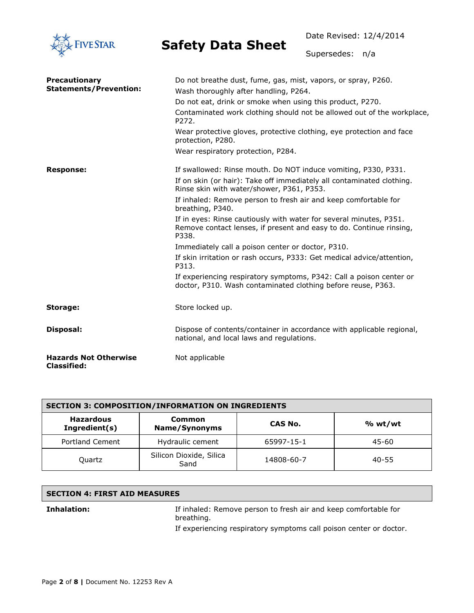

Date Revised: 12/4/2014

Supersedes: n/a

| <b>Precautionary</b>                               | Do not breathe dust, fume, gas, mist, vapors, or spray, P260.                                                                                      |  |
|----------------------------------------------------|----------------------------------------------------------------------------------------------------------------------------------------------------|--|
| <b>Statements/Prevention:</b>                      | Wash thoroughly after handling, P264.                                                                                                              |  |
|                                                    | Do not eat, drink or smoke when using this product, P270.                                                                                          |  |
|                                                    | Contaminated work clothing should not be allowed out of the workplace,<br>P272.                                                                    |  |
|                                                    | Wear protective gloves, protective clothing, eye protection and face<br>protection, P280.                                                          |  |
|                                                    | Wear respiratory protection, P284.                                                                                                                 |  |
| <b>Response:</b>                                   | If swallowed: Rinse mouth. Do NOT induce vomiting, P330, P331.                                                                                     |  |
|                                                    | If on skin (or hair): Take off immediately all contaminated clothing.<br>Rinse skin with water/shower, P361, P353.                                 |  |
|                                                    | If inhaled: Remove person to fresh air and keep comfortable for<br>breathing, P340.                                                                |  |
|                                                    | If in eyes: Rinse cautiously with water for several minutes, P351.<br>Remove contact lenses, if present and easy to do. Continue rinsing,<br>P338. |  |
|                                                    | Immediately call a poison center or doctor, P310.                                                                                                  |  |
|                                                    | If skin irritation or rash occurs, P333: Get medical advice/attention,<br>P313.                                                                    |  |
|                                                    | If experiencing respiratory symptoms, P342: Call a poison center or<br>doctor, P310. Wash contaminated clothing before reuse, P363.                |  |
| Storage:                                           | Store locked up.                                                                                                                                   |  |
| Disposal:                                          | Dispose of contents/container in accordance with applicable regional,<br>national, and local laws and regulations.                                 |  |
| <b>Hazards Not Otherwise</b><br><b>Classified:</b> | Not applicable                                                                                                                                     |  |

| <b>SECTION 3: COMPOSITION/INFORMATION ON INGREDIENTS</b> |                                 |            |         |
|----------------------------------------------------------|---------------------------------|------------|---------|
| <b>Hazardous</b><br>Ingredient(s)                        | Common<br>Name/Synonyms         | CAS No.    | % wt/wt |
| Portland Cement                                          | Hydraulic cement                | 65997-15-1 | 45-60   |
| Quartz                                                   | Silicon Dioxide, Silica<br>Sand | 14808-60-7 | 40-55   |

#### **SECTION 4: FIRST AID MEASURES**

**Inhalation:** If inhaled: Remove person to fresh air and keep comfortable for breathing.

If experiencing respiratory symptoms call poison center or doctor.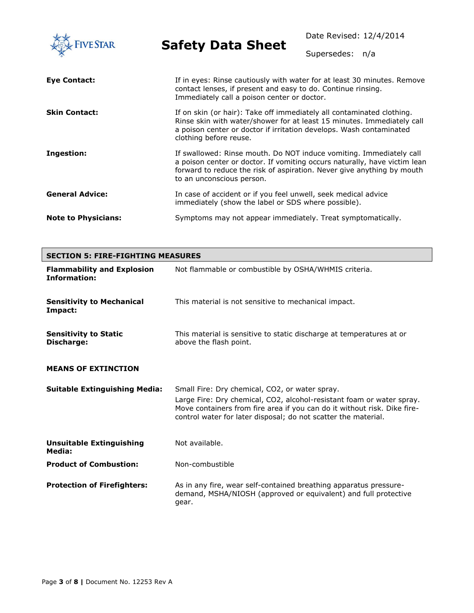| <b>FIVE STAR</b>           | <b>Safety Data Sheet</b>                                                                                                                                                                                                                                | Date Revised: 12/4/2014<br>Supersedes: | n/a |
|----------------------------|---------------------------------------------------------------------------------------------------------------------------------------------------------------------------------------------------------------------------------------------------------|----------------------------------------|-----|
|                            |                                                                                                                                                                                                                                                         |                                        |     |
| Eye Contact:               | If in eyes: Rinse cautiously with water for at least 30 minutes. Remove<br>contact lenses, if present and easy to do. Continue rinsing.<br>Immediately call a poison center or doctor.                                                                  |                                        |     |
| <b>Skin Contact:</b>       | If on skin (or hair): Take off immediately all contaminated clothing.<br>Rinse skin with water/shower for at least 15 minutes. Immediately call<br>a poison center or doctor if irritation develops. Wash contaminated<br>clothing before reuse.        |                                        |     |
| Ingestion:                 | If swallowed: Rinse mouth. Do NOT induce vomiting. Immediately call<br>a poison center or doctor. If vomiting occurs naturally, have victim lean<br>forward to reduce the risk of aspiration. Never give anything by mouth<br>to an unconscious person. |                                        |     |
| <b>General Advice:</b>     | In case of accident or if you feel unwell, seek medical advice<br>immediately (show the label or SDS where possible).                                                                                                                                   |                                        |     |
| <b>Note to Physicians:</b> | Symptoms may not appear immediately. Treat symptomatically.                                                                                                                                                                                             |                                        |     |

| <b>SECTION 5: FIRE-FIGHTING MEASURES</b>          |                                                                                                                                                                                                                                                                       |  |
|---------------------------------------------------|-----------------------------------------------------------------------------------------------------------------------------------------------------------------------------------------------------------------------------------------------------------------------|--|
| <b>Flammability and Explosion</b><br>Information: | Not flammable or combustible by OSHA/WHMIS criteria.                                                                                                                                                                                                                  |  |
| <b>Sensitivity to Mechanical</b><br>Impact:       | This material is not sensitive to mechanical impact.                                                                                                                                                                                                                  |  |
| <b>Sensitivity to Static</b><br>Discharge:        | This material is sensitive to static discharge at temperatures at or<br>above the flash point.                                                                                                                                                                        |  |
| <b>MEANS OF EXTINCTION</b>                        |                                                                                                                                                                                                                                                                       |  |
| <b>Suitable Extinguishing Media:</b>              | Small Fire: Dry chemical, CO2, or water spray.<br>Large Fire: Dry chemical, CO2, alcohol-resistant foam or water spray.<br>Move containers from fire area if you can do it without risk. Dike fire-<br>control water for later disposal; do not scatter the material. |  |
| <b>Unsuitable Extinguishing</b><br>Media:         | Not available.                                                                                                                                                                                                                                                        |  |
| <b>Product of Combustion:</b>                     | Non-combustible                                                                                                                                                                                                                                                       |  |
| <b>Protection of Firefighters:</b>                | As in any fire, wear self-contained breathing apparatus pressure-<br>demand, MSHA/NIOSH (approved or equivalent) and full protective<br>gear.                                                                                                                         |  |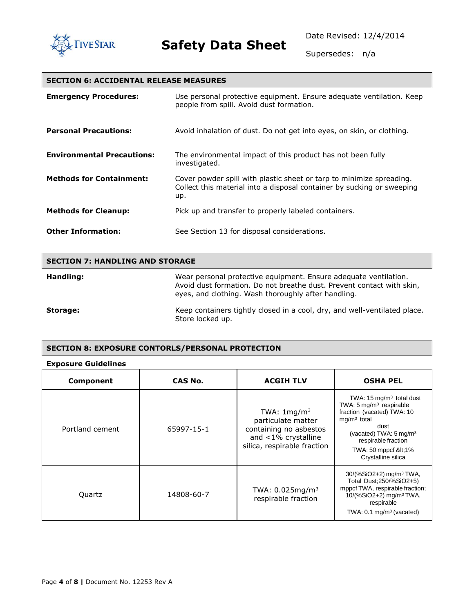

Supersedes: n/a

### **SECTION 6: ACCIDENTAL RELEASE MEASURES**

| <b>Emergency Procedures:</b>      | Use personal protective equipment. Ensure adequate ventilation. Keep<br>people from spill. Avoid dust formation.                                      |
|-----------------------------------|-------------------------------------------------------------------------------------------------------------------------------------------------------|
| <b>Personal Precautions:</b>      | Avoid inhalation of dust. Do not get into eyes, on skin, or clothing.                                                                                 |
| <b>Environmental Precautions:</b> | The environmental impact of this product has not been fully<br>investigated.                                                                          |
| <b>Methods for Containment:</b>   | Cover powder spill with plastic sheet or tarp to minimize spreading.<br>Collect this material into a disposal container by sucking or sweeping<br>up. |
| <b>Methods for Cleanup:</b>       | Pick up and transfer to properly labeled containers.                                                                                                  |
| <b>Other Information:</b>         | See Section 13 for disposal considerations.                                                                                                           |

| <b>SECTION 7: HANDLING AND STORAGE</b> |                                                                                                                                                                                                  |  |
|----------------------------------------|--------------------------------------------------------------------------------------------------------------------------------------------------------------------------------------------------|--|
| Handling:                              | Wear personal protective equipment. Ensure adequate ventilation.<br>Avoid dust formation. Do not breathe dust. Prevent contact with skin,<br>eyes, and clothing. Wash thoroughly after handling. |  |
| Storage:                               | Keep containers tightly closed in a cool, dry, and well-ventilated place.<br>Store locked up.                                                                                                    |  |

#### **SECTION 8: EXPOSURE CONTORLS/PERSONAL PROTECTION**

#### **Exposure Guidelines**

| Component       | CAS No.    | <b>ACGIH TLV</b>                                                                                                             | <b>OSHA PEL</b>                                                                                                                                                                                                                            |
|-----------------|------------|------------------------------------------------------------------------------------------------------------------------------|--------------------------------------------------------------------------------------------------------------------------------------------------------------------------------------------------------------------------------------------|
| Portland cement | 65997-15-1 | TWA: $1 \text{mg/m}^3$<br>particulate matter<br>containing no asbestos<br>and <1% crystalline<br>silica, respirable fraction | TWA: $15 \text{ mg/m}^3$ total dust<br>TWA: 5 mg/m <sup>3</sup> respirable<br>fraction (vacated) TWA: 10<br>$mq/m3$ total<br>dust<br>(vacated) TWA: $5 \text{ mg/m}^3$<br>respirable fraction<br>TWA: 50 mppcf &It1%<br>Crystalline silica |
| Quartz          | 14808-60-7 | TWA: $0.025$ mg/m <sup>3</sup><br>respirable fraction                                                                        | 30/(%SiO2+2) mg/m <sup>3</sup> TWA,<br>Total Dust; 250/% SiO 2+5)<br>mppcf TWA, respirable fraction;<br>10/(%SiO2+2) mg/m <sup>3</sup> TWA,<br>respirable<br>TWA: $0.1 \text{ mg/m}^3$ (vacated)                                           |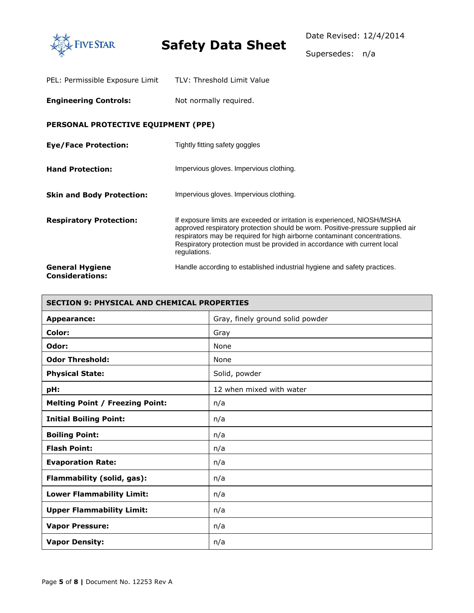

Supersedes: n/a

| PEL: Permissible Exposure Limit | TLV: Threshold Limit Value |
|---------------------------------|----------------------------|
|---------------------------------|----------------------------|

**Engineering Controls:** Not normally required.

### **PERSONAL PROTECTIVE EQUIPMENT (PPE)**

| <b>Eye/Face Protection:</b>                      | Tightly fitting safety goggles                                                                                                                                                                                                                                                                                                      |
|--------------------------------------------------|-------------------------------------------------------------------------------------------------------------------------------------------------------------------------------------------------------------------------------------------------------------------------------------------------------------------------------------|
| <b>Hand Protection:</b>                          | Impervious gloves. Impervious clothing.                                                                                                                                                                                                                                                                                             |
| <b>Skin and Body Protection:</b>                 | Impervious gloves. Impervious clothing.                                                                                                                                                                                                                                                                                             |
| <b>Respiratory Protection:</b>                   | If exposure limits are exceeded or irritation is experienced, NIOSH/MSHA<br>approved respiratory protection should be worn. Positive-pressure supplied air<br>respirators may be required for high airborne contaminant concentrations.<br>Respiratory protection must be provided in accordance with current local<br>regulations. |
| <b>General Hygiene</b><br><b>Considerations:</b> | Handle according to established industrial hygiene and safety practices.                                                                                                                                                                                                                                                            |

| <b>SECTION 9: PHYSICAL AND CHEMICAL PROPERTIES</b> |                                  |  |
|----------------------------------------------------|----------------------------------|--|
| <b>Appearance:</b>                                 | Gray, finely ground solid powder |  |
| Color:                                             | Gray                             |  |
| Odor:                                              | None                             |  |
| <b>Odor Threshold:</b>                             | None                             |  |
| <b>Physical State:</b>                             | Solid, powder                    |  |
| pH:                                                | 12 when mixed with water         |  |
| <b>Melting Point / Freezing Point:</b>             | n/a                              |  |
| <b>Initial Boiling Point:</b>                      | n/a                              |  |
| <b>Boiling Point:</b>                              | n/a                              |  |
| <b>Flash Point:</b>                                | n/a                              |  |
| <b>Evaporation Rate:</b>                           | n/a                              |  |
| Flammability (solid, gas):                         | n/a                              |  |
| <b>Lower Flammability Limit:</b>                   | n/a                              |  |
| <b>Upper Flammability Limit:</b>                   | n/a                              |  |
| <b>Vapor Pressure:</b>                             | n/a                              |  |
| <b>Vapor Density:</b>                              | n/a                              |  |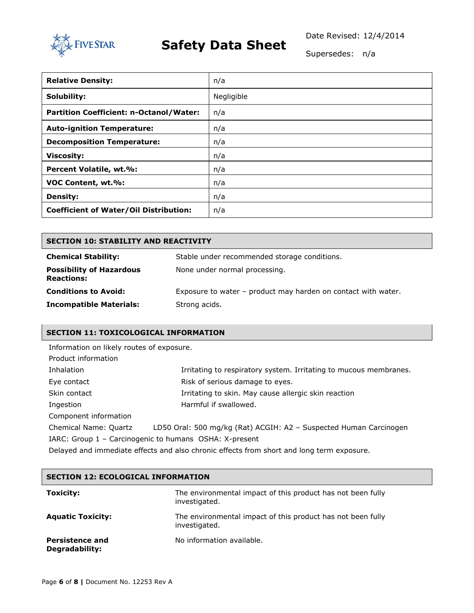

### **FIVE STAR Safety Data Sheet**

Date Revised: 12/4/2014

Supersedes: n/a

| <b>Relative Density:</b>                      | n/a        |
|-----------------------------------------------|------------|
| Solubility:                                   | Negligible |
| Partition Coefficient: n-Octanol/Water:       | n/a        |
| <b>Auto-ignition Temperature:</b>             | n/a        |
| <b>Decomposition Temperature:</b>             | n/a        |
| <b>Viscosity:</b>                             | n/a        |
| Percent Volatile, wt.%:                       | n/a        |
| VOC Content, wt.%:                            | n/a        |
| <b>Density:</b>                               | n/a        |
| <b>Coefficient of Water/Oil Distribution:</b> | n/a        |

| <b>SECTION 10: STABILITY AND REACTIVITY</b>          |                                                               |  |  |
|------------------------------------------------------|---------------------------------------------------------------|--|--|
| <b>Chemical Stability:</b>                           | Stable under recommended storage conditions.                  |  |  |
| <b>Possibility of Hazardous</b><br><b>Reactions:</b> | None under normal processing.                                 |  |  |
| <b>Conditions to Avoid:</b>                          | Exposure to water – product may harden on contact with water. |  |  |
| <b>Incompatible Materials:</b>                       | Strong acids.                                                 |  |  |

### **SECTION 11: TOXICOLOGICAL INFORMATION**

| Information on likely routes of exposure.                                                 |                                                                   |  |  |
|-------------------------------------------------------------------------------------------|-------------------------------------------------------------------|--|--|
| Product information                                                                       |                                                                   |  |  |
| Inhalation                                                                                | Irritating to respiratory system. Irritating to mucous membranes. |  |  |
| Eye contact                                                                               | Risk of serious damage to eyes.                                   |  |  |
| Skin contact<br>Irritating to skin. May cause allergic skin reaction                      |                                                                   |  |  |
| Harmful if swallowed.<br>Ingestion                                                        |                                                                   |  |  |
| Component information                                                                     |                                                                   |  |  |
| Chemical Name: Quartz                                                                     | LD50 Oral: 500 mg/kg (Rat) ACGIH: A2 - Suspected Human Carcinogen |  |  |
| IARC: Group 1 - Carcinogenic to humans OSHA: X-present                                    |                                                                   |  |  |
| Delayed and immediate effects and also chronic effects from short and long term exposure. |                                                                   |  |  |

| <b>SECTION 12: ECOLOGICAL INFORMATION</b> |                                                                              |  |  |
|-------------------------------------------|------------------------------------------------------------------------------|--|--|
| <b>Toxicity:</b>                          | The environmental impact of this product has not been fully<br>investigated. |  |  |
| <b>Aquatic Toxicity:</b>                  | The environmental impact of this product has not been fully<br>investigated. |  |  |
| <b>Persistence and</b><br>Degradability:  | No information available.                                                    |  |  |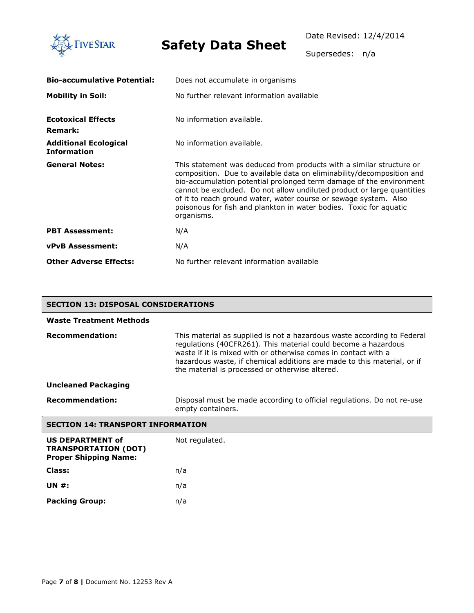

ł.

# **Safety Data Sheet**

٦

Supersedes: n/a

| <b>Bio-accumulative Potential:</b>                 | Does not accumulate in organisms                                                                                                                                                                                                                                                                                                                                                                                                                       |  |  |  |
|----------------------------------------------------|--------------------------------------------------------------------------------------------------------------------------------------------------------------------------------------------------------------------------------------------------------------------------------------------------------------------------------------------------------------------------------------------------------------------------------------------------------|--|--|--|
| <b>Mobility in Soil:</b>                           | No further relevant information available                                                                                                                                                                                                                                                                                                                                                                                                              |  |  |  |
| <b>Ecotoxical Effects</b><br><b>Remark:</b>        | No information available.                                                                                                                                                                                                                                                                                                                                                                                                                              |  |  |  |
| <b>Additional Ecological</b><br><b>Information</b> | No information available.                                                                                                                                                                                                                                                                                                                                                                                                                              |  |  |  |
| <b>General Notes:</b>                              | This statement was deduced from products with a similar structure or<br>composition. Due to available data on eliminability/decomposition and<br>bio-accumulation potential prolonged term damage of the environment<br>cannot be excluded. Do not allow undiluted product or large quantities<br>of it to reach ground water, water course or sewage system. Also<br>poisonous for fish and plankton in water bodies. Toxic for aquatic<br>organisms. |  |  |  |
| <b>PBT Assessment:</b>                             | N/A                                                                                                                                                                                                                                                                                                                                                                                                                                                    |  |  |  |
| <b>vPvB Assessment:</b>                            | N/A                                                                                                                                                                                                                                                                                                                                                                                                                                                    |  |  |  |
| <b>Other Adverse Effects:</b>                      | No further relevant information available                                                                                                                                                                                                                                                                                                                                                                                                              |  |  |  |

| <b>SECTION 13: DISPOSAL CONSIDERATIONS</b>                                             |                                                                                                                                                                                                                                                                                                                                           |  |  |
|----------------------------------------------------------------------------------------|-------------------------------------------------------------------------------------------------------------------------------------------------------------------------------------------------------------------------------------------------------------------------------------------------------------------------------------------|--|--|
| <b>Waste Treatment Methods</b>                                                         |                                                                                                                                                                                                                                                                                                                                           |  |  |
| <b>Recommendation:</b>                                                                 | This material as supplied is not a hazardous waste according to Federal<br>regulations (40CFR261). This material could become a hazardous<br>waste if it is mixed with or otherwise comes in contact with a<br>hazardous waste, if chemical additions are made to this material, or if<br>the material is processed or otherwise altered. |  |  |
| <b>Uncleaned Packaging</b>                                                             |                                                                                                                                                                                                                                                                                                                                           |  |  |
| <b>Recommendation:</b>                                                                 | Disposal must be made according to official regulations. Do not re-use<br>empty containers.                                                                                                                                                                                                                                               |  |  |
| <b>SECTION 14: TRANSPORT INFORMATION</b>                                               |                                                                                                                                                                                                                                                                                                                                           |  |  |
| <b>US DEPARTMENT of</b><br><b>TRANSPORTATION (DOT)</b><br><b>Proper Shipping Name:</b> | Not regulated.                                                                                                                                                                                                                                                                                                                            |  |  |
| Class:                                                                                 | n/a                                                                                                                                                                                                                                                                                                                                       |  |  |
| <b>UN #:</b>                                                                           | n/a                                                                                                                                                                                                                                                                                                                                       |  |  |
| <b>Packing Group:</b>                                                                  | n/a                                                                                                                                                                                                                                                                                                                                       |  |  |